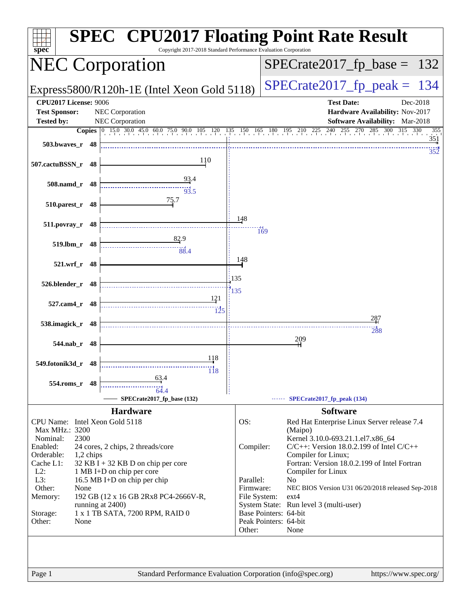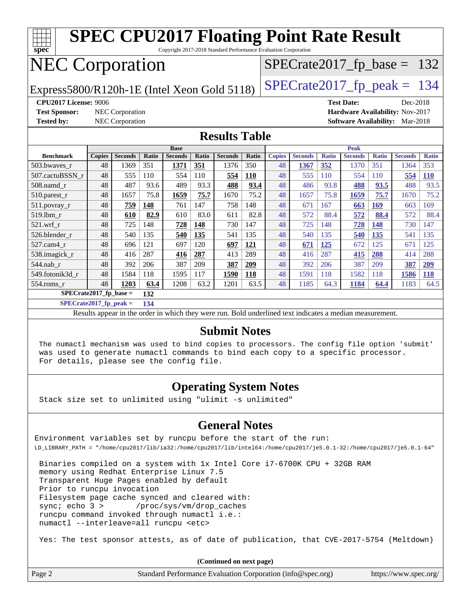| <b>SPEC CPU2017 Floating Point Rate Result</b><br>$Spec^*$<br>Copyright 2017-2018 Standard Performance Evaluation Corporation |               |                        |       |                |              |                |            |               |                |              |                                 |              |                |              |
|-------------------------------------------------------------------------------------------------------------------------------|---------------|------------------------|-------|----------------|--------------|----------------|------------|---------------|----------------|--------------|---------------------------------|--------------|----------------|--------------|
| <b>NEC Corporation</b><br>$SPECTate2017$ _fp_base = 132                                                                       |               |                        |       |                |              |                |            |               |                |              |                                 |              |                |              |
| $SPECTate2017$ _fp_peak = 134<br>Express5800/R120h-1E (Intel Xeon Gold 5118)                                                  |               |                        |       |                |              |                |            |               |                |              |                                 |              |                |              |
| CPU2017 License: 9006                                                                                                         |               |                        |       |                |              |                |            |               |                |              | <b>Test Date:</b>               |              | Dec-2018       |              |
| <b>Test Sponsor:</b>                                                                                                          |               | NEC Corporation        |       |                |              |                |            |               |                |              | Hardware Availability: Nov-2017 |              |                |              |
| <b>Tested by:</b>                                                                                                             |               | <b>NEC</b> Corporation |       |                |              |                |            |               |                |              | Software Availability: Mar-2018 |              |                |              |
| <b>Results Table</b>                                                                                                          |               |                        |       |                |              |                |            |               |                |              |                                 |              |                |              |
|                                                                                                                               |               |                        |       | <b>Base</b>    |              |                |            | Peak          |                |              |                                 |              |                |              |
| <b>Benchmark</b>                                                                                                              | <b>Copies</b> | <b>Seconds</b>         | Ratio | <b>Seconds</b> | <b>Ratio</b> | <b>Seconds</b> | Ratio      | <b>Copies</b> | <b>Seconds</b> | <b>Ratio</b> | <b>Seconds</b>                  | <b>Ratio</b> | <b>Seconds</b> | <b>Ratio</b> |
| 503.bwaves_r                                                                                                                  | 48            | 1369                   | 351   | 1371           | 351          | 1376           | 350        | 48            | 1367           | 352          | 1370                            | 351          | 1364           | 353          |
| 507.cactuBSSN r                                                                                                               | 48            | 555                    | 110   | 554            | 110          | 554            | <b>110</b> | 48            | 555            | 110          | 554                             | 110          | 554            | <b>110</b>   |
| $508$ .namd $r$                                                                                                               | 48            | 487                    | 93.6  | 489            | 93.3         | 488            | 93.4       | 48            | 486            | 93.8         | 488                             | 93.5         | 488            | 93.5         |
| 510.parest_r                                                                                                                  | 48            | 1657                   | 75.8  | 1659           | 75.7         | 1670           | 75.2       | 48            | 1657           | 75.8         | 1659                            | 75.7         | 1670           | 75.2         |
| 511.povray_r                                                                                                                  | 48            | 759                    | 148   | 761            | 147          | 758            | 148        | 48            | 671            | 167          | 663                             | 169          | 663            | 169          |
| 519.lbm r                                                                                                                     | 48            | 610                    | 82.9  | 610            | 83.0         | 611            | 82.8       | 48            | 572            | 88.4         | 572                             | 88.4         | 572            | 88.4         |
| $521$ .wrf r                                                                                                                  | 48            | 725                    | 148   | 728            | 148          | 730            | 147        | 48            | 725            | 148          | 728                             | 148          | 730            | 147          |
| 526.blender r                                                                                                                 | 48            | 540                    | 135   | 540            | 135          | 541            | 135        | 48            | 540            | 135          | 540                             | 135          | 541            | 135          |
| 527.cam4_r                                                                                                                    | 48            | 696                    | 121   | 697            | 120          | 697            | 121        | 48            | 671            | 125          | 672                             | 125          | 671            | 125          |
| 538.imagick r                                                                                                                 | 48            | 416                    | 287   | 416            | 287          | 413            | 289        | 48            | 416            | 287          | 415                             | 288          | 414            | 288          |
| 544.nab r                                                                                                                     | 48            | 392                    | 206   | 387            | 209          | 387            | 209        | 48            | 392            | 206          | 387                             | 209          | 387            | 209          |
| 549.fotonik3d r                                                                                                               | 48            | 1584                   | 118   | 1595           | 117          | 1590           | 118        | 48            | 1591           | 118          | 1582                            | 118          | 1586           | <b>118</b>   |
| 554.roms_r                                                                                                                    | 48            | 1203                   | 63.4  | 1208           | 63.2         | 1201           | 63.5       | 48            | 1185           | 64.3         | 1184                            | 64.4         | 1183           | 64.5         |

**[SPECrate2017\\_fp\\_base =](http://www.spec.org/auto/cpu2017/Docs/result-fields.html#SPECrate2017fpbase) 132**

**[SPECrate2017\\_fp\\_peak =](http://www.spec.org/auto/cpu2017/Docs/result-fields.html#SPECrate2017fppeak) 134**

Results appear in the [order in which they were run.](http://www.spec.org/auto/cpu2017/Docs/result-fields.html#RunOrder) Bold underlined text [indicates a median measurement.](http://www.spec.org/auto/cpu2017/Docs/result-fields.html#Median)

#### **[Submit Notes](http://www.spec.org/auto/cpu2017/Docs/result-fields.html#SubmitNotes)**

 The numactl mechanism was used to bind copies to processors. The config file option 'submit' was used to generate numactl commands to bind each copy to a specific processor. For details, please see the config file.

#### **[Operating System Notes](http://www.spec.org/auto/cpu2017/Docs/result-fields.html#OperatingSystemNotes)**

Stack size set to unlimited using "ulimit -s unlimited"

#### **[General Notes](http://www.spec.org/auto/cpu2017/Docs/result-fields.html#GeneralNotes)**

Environment variables set by runcpu before the start of the run: LD\_LIBRARY\_PATH = "/home/cpu2017/lib/ia32:/home/cpu2017/lib/intel64:/home/cpu2017/je5.0.1-32:/home/cpu2017/je5.0.1-64"

 Binaries compiled on a system with 1x Intel Core i7-6700K CPU + 32GB RAM memory using Redhat Enterprise Linux 7.5 Transparent Huge Pages enabled by default Prior to runcpu invocation Filesystem page cache synced and cleared with: sync; echo 3 > /proc/sys/vm/drop\_caches runcpu command invoked through numactl i.e.: numactl --interleave=all runcpu <etc>

Yes: The test sponsor attests, as of date of publication, that CVE-2017-5754 (Meltdown)

**(Continued on next page)**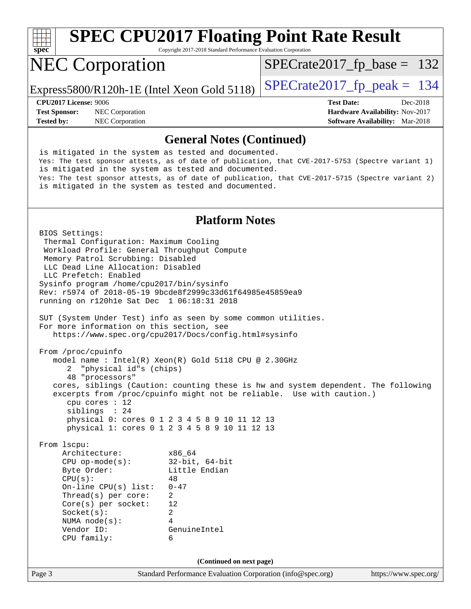

Copyright 2017-2018 Standard Performance Evaluation Corporation

# NEC Corporation

Express5800/R120h-1E (Intel Xeon Gold 5118)  $\left|$  [SPECrate2017\\_fp\\_peak =](http://www.spec.org/auto/cpu2017/Docs/result-fields.html#SPECrate2017fppeak) 134

[SPECrate2017\\_fp\\_base =](http://www.spec.org/auto/cpu2017/Docs/result-fields.html#SPECrate2017fpbase) 132

**[Test Sponsor:](http://www.spec.org/auto/cpu2017/Docs/result-fields.html#TestSponsor)** NEC Corporation **[Hardware Availability:](http://www.spec.org/auto/cpu2017/Docs/result-fields.html#HardwareAvailability)** Nov-2017

**[CPU2017 License:](http://www.spec.org/auto/cpu2017/Docs/result-fields.html#CPU2017License)** 9006 **[Test Date:](http://www.spec.org/auto/cpu2017/Docs/result-fields.html#TestDate)** Dec-2018 **[Tested by:](http://www.spec.org/auto/cpu2017/Docs/result-fields.html#Testedby)** NEC Corporation **[Software Availability:](http://www.spec.org/auto/cpu2017/Docs/result-fields.html#SoftwareAvailability)** Mar-2018

#### **[General Notes \(Continued\)](http://www.spec.org/auto/cpu2017/Docs/result-fields.html#GeneralNotes)**

 is mitigated in the system as tested and documented. Yes: The test sponsor attests, as of date of publication, that CVE-2017-5753 (Spectre variant 1) is mitigated in the system as tested and documented. Yes: The test sponsor attests, as of date of publication, that CVE-2017-5715 (Spectre variant 2) is mitigated in the system as tested and documented.

#### **[Platform Notes](http://www.spec.org/auto/cpu2017/Docs/result-fields.html#PlatformNotes)**

Page 3 Standard Performance Evaluation Corporation [\(info@spec.org\)](mailto:info@spec.org) <https://www.spec.org/> BIOS Settings: Thermal Configuration: Maximum Cooling Workload Profile: General Throughput Compute Memory Patrol Scrubbing: Disabled LLC Dead Line Allocation: Disabled LLC Prefetch: Enabled Sysinfo program /home/cpu2017/bin/sysinfo Rev: r5974 of 2018-05-19 9bcde8f2999c33d61f64985e45859ea9 running on r120h1e Sat Dec 1 06:18:31 2018 SUT (System Under Test) info as seen by some common utilities. For more information on this section, see <https://www.spec.org/cpu2017/Docs/config.html#sysinfo> From /proc/cpuinfo model name : Intel(R) Xeon(R) Gold 5118 CPU @ 2.30GHz 2 "physical id"s (chips) 48 "processors" cores, siblings (Caution: counting these is hw and system dependent. The following excerpts from /proc/cpuinfo might not be reliable. Use with caution.) cpu cores : 12 siblings : 24 physical 0: cores 0 1 2 3 4 5 8 9 10 11 12 13 physical 1: cores 0 1 2 3 4 5 8 9 10 11 12 13 From lscpu: Architecture: x86\_64 CPU op-mode(s): 32-bit, 64-bit Byte Order: Little Endian  $CPU(s):$  48 On-line CPU(s) list: 0-47 Thread(s) per core: 2 Core(s) per socket: 12 Socket(s): 2 NUMA node(s): 4 Vendor ID: GenuineIntel CPU family: 6 **(Continued on next page)**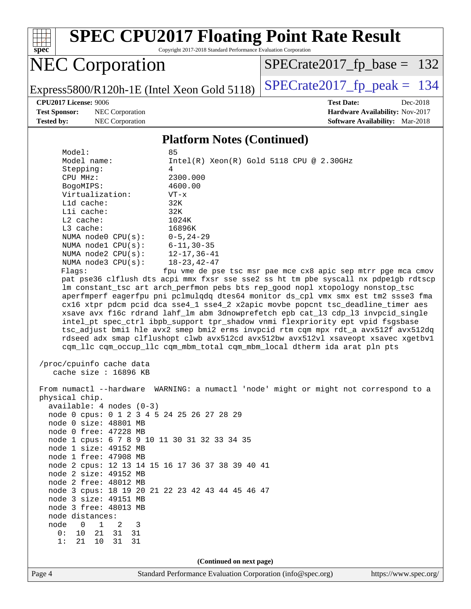

Copyright 2017-2018 Standard Performance Evaluation Corporation

# NEC Corporation

Express5800/R120h-1E (Intel Xeon Gold 5118)  $\left|$  [SPECrate2017\\_fp\\_peak =](http://www.spec.org/auto/cpu2017/Docs/result-fields.html#SPECrate2017fppeak) 134

[SPECrate2017\\_fp\\_base =](http://www.spec.org/auto/cpu2017/Docs/result-fields.html#SPECrate2017fpbase) 132

**[Test Sponsor:](http://www.spec.org/auto/cpu2017/Docs/result-fields.html#TestSponsor)** NEC Corporation **[Hardware Availability:](http://www.spec.org/auto/cpu2017/Docs/result-fields.html#HardwareAvailability)** Nov-2017

**[CPU2017 License:](http://www.spec.org/auto/cpu2017/Docs/result-fields.html#CPU2017License)** 9006 **[Test Date:](http://www.spec.org/auto/cpu2017/Docs/result-fields.html#TestDate)** Dec-2018 **[Tested by:](http://www.spec.org/auto/cpu2017/Docs/result-fields.html#Testedby)** NEC Corporation **[Software Availability:](http://www.spec.org/auto/cpu2017/Docs/result-fields.html#SoftwareAvailability)** Mar-2018

#### **[Platform Notes \(Continued\)](http://www.spec.org/auto/cpu2017/Docs/result-fields.html#PlatformNotes)**

| Model:                                                                         | 85                                                                                   |
|--------------------------------------------------------------------------------|--------------------------------------------------------------------------------------|
| Model name:                                                                    | $Intel(R)$ Xeon $(R)$ Gold 5118 CPU @ 2.30GHz                                        |
| Stepping:                                                                      | 4                                                                                    |
| CPU MHz:                                                                       | 2300.000                                                                             |
| BogoMIPS:                                                                      | 4600.00                                                                              |
| Virtualization:                                                                | $VT - x$                                                                             |
| L1d cache:                                                                     | 32K                                                                                  |
| Lli cache:                                                                     | 32K                                                                                  |
| $L2$ cache:                                                                    | 1024K                                                                                |
| L3 cache:                                                                      | 16896K                                                                               |
| NUMA node0 CPU(s):                                                             | $0 - 5$ , 24-29                                                                      |
| NUMA $node1$ $CPU(s)$ :                                                        | $6 - 11, 30 - 35$                                                                    |
| NUMA $node2$ $CPU(s)$ :                                                        | $12 - 17, 36 - 41$                                                                   |
| NUMA $node3$ CPU $(s)$ :                                                       | $18 - 23, 42 - 47$                                                                   |
| Flaqs:                                                                         | fpu vme de pse tsc msr pae mce cx8 apic sep mtrr pge mca cmov                        |
|                                                                                | pat pse36 clflush dts acpi mmx fxsr sse sse2 ss ht tm pbe syscall nx pdpelgb rdtscp  |
|                                                                                | lm constant_tsc art arch_perfmon pebs bts rep_good nopl xtopology nonstop_tsc        |
|                                                                                |                                                                                      |
|                                                                                | aperfmperf eagerfpu pni pclmulqdq dtes64 monitor ds_cpl vmx smx est tm2 ssse3 fma    |
|                                                                                | cx16 xtpr pdcm pcid dca sse4_1 sse4_2 x2apic movbe popcnt tsc_deadline_timer aes     |
|                                                                                | xsave avx f16c rdrand lahf_lm abm 3dnowprefetch epb cat_13 cdp_13 invpcid_single     |
|                                                                                | intel_pt spec_ctrl ibpb_support tpr_shadow vnmi flexpriority ept vpid fsgsbase       |
|                                                                                | tsc_adjust bmil hle avx2 smep bmi2 erms invpcid rtm cqm mpx rdt_a avx512f avx512dq   |
|                                                                                | rdseed adx smap clflushopt clwb avx512cd avx512bw avx512vl xsaveopt xsavec xgetbvl   |
|                                                                                | cqm_llc cqm_occup_llc cqm_mbm_total cqm_mbm_local dtherm ida arat pln pts            |
|                                                                                |                                                                                      |
| /proc/cpuinfo cache data                                                       |                                                                                      |
| cache size : $16896$ KB                                                        |                                                                                      |
|                                                                                |                                                                                      |
|                                                                                | From numactl --hardware WARNING: a numactl 'node' might or might not correspond to a |
| physical chip.                                                                 |                                                                                      |
| $available: 4 nodes (0-3)$                                                     |                                                                                      |
| node 0 cpus: 0 1 2 3 4 5 24 25 26 27 28 29                                     |                                                                                      |
| node 0 size: 48801 MB                                                          |                                                                                      |
| node 0 free: 47228 MB                                                          |                                                                                      |
| node 1 cpus: 6 7 8 9 10 11 30 31 32 33 34 35                                   |                                                                                      |
| node 1 size: 49152 MB                                                          |                                                                                      |
| node 1 free: 47908 MB                                                          |                                                                                      |
| node 2 cpus: 12 13 14 15 16 17 36 37 38 39 40 41                               |                                                                                      |
| node 2 size: 49152 MB                                                          |                                                                                      |
| node 2 free: 48012 MB                                                          |                                                                                      |
|                                                                                |                                                                                      |
| node 3 cpus: 18 19 20 21 22 23 42 43 44 45 46 47                               |                                                                                      |
| node 3 size: 49151 MB                                                          |                                                                                      |
| node 3 free: 48013 MB                                                          |                                                                                      |
|                                                                                |                                                                                      |
| node distances:                                                                |                                                                                      |
| node<br>$\overline{0}$<br>$\mathbf{1}$<br>2<br>3<br>31<br>0:<br>10<br>21<br>31 |                                                                                      |

**(Continued on next page)**

1: 21 10 31 31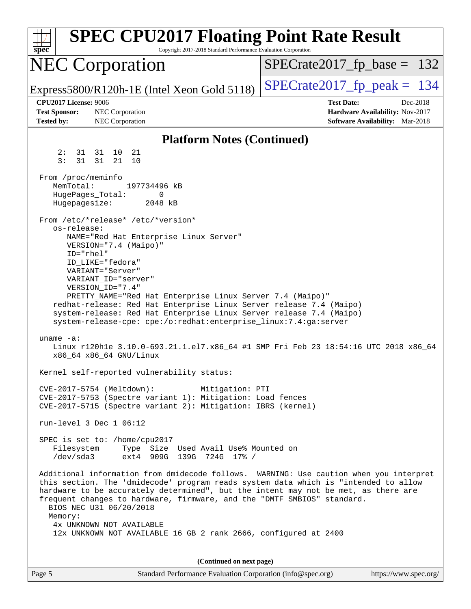| <b>SPEC CPU2017 Floating Point Rate Result</b><br>Copyright 2017-2018 Standard Performance Evaluation Corporation<br>spec <sup>®</sup>                                                                                                                                                                                                                                                                                                                                                                                                                                                                                                                                                                                                                                                                       |                                                                                                            |
|--------------------------------------------------------------------------------------------------------------------------------------------------------------------------------------------------------------------------------------------------------------------------------------------------------------------------------------------------------------------------------------------------------------------------------------------------------------------------------------------------------------------------------------------------------------------------------------------------------------------------------------------------------------------------------------------------------------------------------------------------------------------------------------------------------------|------------------------------------------------------------------------------------------------------------|
| <b>NEC Corporation</b>                                                                                                                                                                                                                                                                                                                                                                                                                                                                                                                                                                                                                                                                                                                                                                                       | $SPECrate2017_fp\_base = 132$                                                                              |
| Express5800/R120h-1E (Intel Xeon Gold 5118)                                                                                                                                                                                                                                                                                                                                                                                                                                                                                                                                                                                                                                                                                                                                                                  | $SPECTate2017$ _fp_peak = 134                                                                              |
| <b>CPU2017 License: 9006</b><br><b>Test Sponsor:</b><br>NEC Corporation<br><b>Tested by:</b><br>NEC Corporation                                                                                                                                                                                                                                                                                                                                                                                                                                                                                                                                                                                                                                                                                              | <b>Test Date:</b><br>Dec-2018<br>Hardware Availability: Nov-2017<br><b>Software Availability:</b> Mar-2018 |
| <b>Platform Notes (Continued)</b>                                                                                                                                                                                                                                                                                                                                                                                                                                                                                                                                                                                                                                                                                                                                                                            |                                                                                                            |
| 31 31 10 21<br>2:<br>3:<br>31 21<br>31<br>10                                                                                                                                                                                                                                                                                                                                                                                                                                                                                                                                                                                                                                                                                                                                                                 |                                                                                                            |
| From /proc/meminfo<br>MemTotal:<br>197734496 kB<br>HugePages_Total:<br>0<br>Hugepagesize:<br>2048 kB                                                                                                                                                                                                                                                                                                                                                                                                                                                                                                                                                                                                                                                                                                         |                                                                                                            |
| From /etc/*release* /etc/*version*<br>os-release:                                                                                                                                                                                                                                                                                                                                                                                                                                                                                                                                                                                                                                                                                                                                                            |                                                                                                            |
| NAME="Red Hat Enterprise Linux Server"<br>VERSION="7.4 (Maipo)"<br>ID="rhel"<br>ID LIKE="fedora"<br>VARIANT="Server"<br>VARIANT ID="server"<br>VERSION_ID="7.4"<br>PRETTY_NAME="Red Hat Enterprise Linux Server 7.4 (Maipo)"<br>redhat-release: Red Hat Enterprise Linux Server release 7.4 (Maipo)<br>system-release: Red Hat Enterprise Linux Server release 7.4 (Maipo)<br>system-release-cpe: cpe:/o:redhat:enterprise_linux:7.4:ga:server<br>uname $-a$ :<br>Linux r120hle 3.10.0-693.21.1.el7.x86_64 #1 SMP Fri Feb 23 18:54:16 UTC 2018 x86_64<br>x86_64 x86_64 GNU/Linux<br>Kernel self-reported vulnerability status:<br>CVE-2017-5754 (Meltdown):<br>Mitigation: PTI<br>CVE-2017-5753 (Spectre variant 1): Mitigation: Load fences<br>CVE-2017-5715 (Spectre variant 2): Mitigation: IBRS (kernel) |                                                                                                            |
| run-level 3 Dec 1 06:12                                                                                                                                                                                                                                                                                                                                                                                                                                                                                                                                                                                                                                                                                                                                                                                      |                                                                                                            |
| SPEC is set to: /home/cpu2017<br>Filesystem<br>Type Size Used Avail Use% Mounted on<br>/dev/sda3<br>ext4 909G 139G 724G 17% /                                                                                                                                                                                                                                                                                                                                                                                                                                                                                                                                                                                                                                                                                |                                                                                                            |
| Additional information from dmidecode follows. WARNING: Use caution when you interpret<br>this section. The 'dmidecode' program reads system data which is "intended to allow<br>hardware to be accurately determined", but the intent may not be met, as there are<br>frequent changes to hardware, firmware, and the "DMTF SMBIOS" standard.<br>BIOS NEC U31 06/20/2018<br>Memory:<br>4x UNKNOWN NOT AVAILABLE<br>12x UNKNOWN NOT AVAILABLE 16 GB 2 rank 2666, configured at 2400                                                                                                                                                                                                                                                                                                                          |                                                                                                            |
| (Continued on next page)                                                                                                                                                                                                                                                                                                                                                                                                                                                                                                                                                                                                                                                                                                                                                                                     |                                                                                                            |
|                                                                                                                                                                                                                                                                                                                                                                                                                                                                                                                                                                                                                                                                                                                                                                                                              |                                                                                                            |

Page 5 Standard Performance Evaluation Corporation [\(info@spec.org\)](mailto:info@spec.org) <https://www.spec.org/>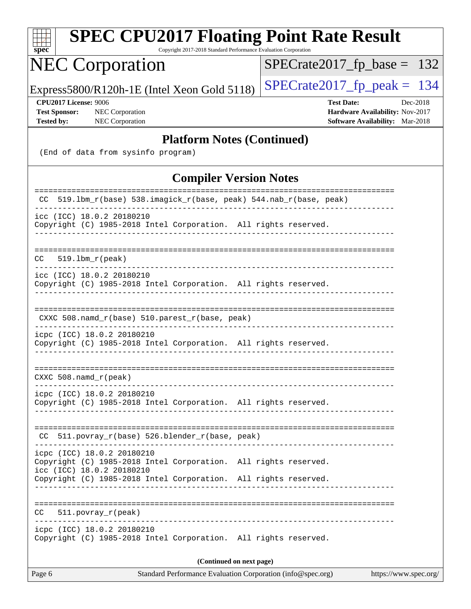| spec <sup>®</sup>                                                                                                                                                                             | <b>SPEC CPU2017 Floating Point Rate Result</b>                  | Copyright 2017-2018 Standard Performance Evaluation Corporation |                          |  |                   |                                                                           |          |
|-----------------------------------------------------------------------------------------------------------------------------------------------------------------------------------------------|-----------------------------------------------------------------|-----------------------------------------------------------------|--------------------------|--|-------------------|---------------------------------------------------------------------------|----------|
| <b>NEC Corporation</b>                                                                                                                                                                        |                                                                 |                                                                 |                          |  |                   | $SPECrate2017_fp\_base = 132$                                             |          |
| Express5800/R120h-1E (Intel Xeon Gold 5118)                                                                                                                                                   |                                                                 |                                                                 |                          |  |                   | $SPECrate2017_fp\_peak = 134$                                             |          |
| <b>CPU2017 License: 9006</b><br><b>Test Sponsor:</b><br><b>Tested by:</b>                                                                                                                     | NEC Corporation<br>NEC Corporation                              |                                                                 |                          |  | <b>Test Date:</b> | Hardware Availability: Nov-2017<br><b>Software Availability:</b> Mar-2018 | Dec-2018 |
|                                                                                                                                                                                               | (End of data from sysinfo program)                              | <b>Platform Notes (Continued)</b>                               |                          |  |                   |                                                                           |          |
|                                                                                                                                                                                               |                                                                 | <b>Compiler Version Notes</b>                                   |                          |  |                   |                                                                           |          |
|                                                                                                                                                                                               | 519.1bm_r(base) 538.imagick_r(base, peak) 544.nab_r(base, peak) |                                                                 |                          |  |                   |                                                                           |          |
| icc (ICC) 18.0.2 20180210<br>Copyright (C) 1985-2018 Intel Corporation. All rights reserved.                                                                                                  |                                                                 |                                                                 |                          |  |                   |                                                                           |          |
| 519.1bm_r(peak)<br>CC.                                                                                                                                                                        |                                                                 |                                                                 |                          |  |                   |                                                                           |          |
| Copyright (C) 1985-2018 Intel Corporation. All rights reserved.                                                                                                                               | icc (ICC) 18.0.2 20180210                                       |                                                                 |                          |  |                   |                                                                           |          |
|                                                                                                                                                                                               | $CXXC$ 508.namd $r(base)$ 510.parest $r(base, peak)$            |                                                                 |                          |  |                   |                                                                           |          |
| icpc (ICC) 18.0.2 20180210<br>Copyright (C) 1985-2018 Intel Corporation. All rights reserved.                                                                                                 |                                                                 |                                                                 |                          |  |                   |                                                                           |          |
| CXXC 508.namd_r(peak)                                                                                                                                                                         |                                                                 |                                                                 |                          |  |                   |                                                                           |          |
| icpc (ICC) 18.0.2 20180210<br>Copyright (C) 1985-2018 Intel Corporation. All rights reserved.                                                                                                 |                                                                 |                                                                 |                          |  |                   |                                                                           |          |
| CC.                                                                                                                                                                                           | $511.povray_r(base) 526.blender_r(base, peak)$                  |                                                                 |                          |  |                   |                                                                           |          |
| icpc (ICC) 18.0.2 20180210<br>Copyright (C) 1985-2018 Intel Corporation. All rights reserved.<br>icc (ICC) 18.0.2 20180210<br>Copyright (C) 1985-2018 Intel Corporation. All rights reserved. |                                                                 |                                                                 |                          |  |                   |                                                                           |          |
| CC .                                                                                                                                                                                          | $511. povray_r (peak)$                                          |                                                                 |                          |  |                   |                                                                           |          |
| icpc (ICC) 18.0.2 20180210<br>Copyright (C) 1985-2018 Intel Corporation. All rights reserved.                                                                                                 |                                                                 |                                                                 |                          |  |                   |                                                                           |          |
|                                                                                                                                                                                               |                                                                 |                                                                 | (Continued on next page) |  |                   |                                                                           |          |
| Page 6                                                                                                                                                                                        |                                                                 | Standard Performance Evaluation Corporation (info@spec.org)     |                          |  |                   | https://www.spec.org/                                                     |          |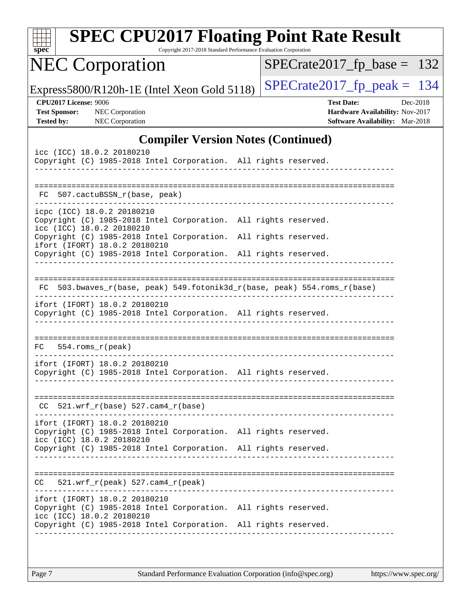| $spec^*$                                  |                              | <b>SPEC CPU2017 Floating Point Rate Result</b>                                                                                                                      | Copyright 2017-2018 Standard Performance Evaluation Corporation |  |                                      |                   |                                                                           |          |
|-------------------------------------------|------------------------------|---------------------------------------------------------------------------------------------------------------------------------------------------------------------|-----------------------------------------------------------------|--|--------------------------------------|-------------------|---------------------------------------------------------------------------|----------|
|                                           |                              | <b>NEC Corporation</b>                                                                                                                                              |                                                                 |  |                                      |                   | $SPECrate2017_fp\_base = 132$                                             |          |
|                                           |                              | Express5800/R120h-1E (Intel Xeon Gold 5118)                                                                                                                         |                                                                 |  |                                      |                   | $SPECrate2017_fp\_peak = 134$                                             |          |
| <b>Test Sponsor:</b><br><b>Tested by:</b> | <b>CPU2017 License: 9006</b> | <b>NEC</b> Corporation<br>NEC Corporation                                                                                                                           |                                                                 |  |                                      | <b>Test Date:</b> | Hardware Availability: Nov-2017<br><b>Software Availability:</b> Mar-2018 | Dec-2018 |
|                                           |                              |                                                                                                                                                                     | <b>Compiler Version Notes (Continued)</b>                       |  |                                      |                   |                                                                           |          |
|                                           |                              | icc (ICC) 18.0.2 20180210<br>Copyright (C) 1985-2018 Intel Corporation. All rights reserved.                                                                        |                                                                 |  |                                      |                   |                                                                           |          |
|                                           |                              | FC 507.cactuBSSN_r(base, peak)                                                                                                                                      |                                                                 |  |                                      |                   |                                                                           |          |
|                                           |                              | icpc (ICC) 18.0.2 20180210<br>Copyright (C) 1985-2018 Intel Corporation. All rights reserved.<br>icc (ICC) 18.0.2 20180210                                          |                                                                 |  |                                      |                   |                                                                           |          |
|                                           |                              | Copyright (C) 1985-2018 Intel Corporation. All rights reserved.<br>ifort (IFORT) 18.0.2 20180210<br>Copyright (C) 1985-2018 Intel Corporation. All rights reserved. |                                                                 |  |                                      |                   |                                                                           |          |
|                                           |                              |                                                                                                                                                                     |                                                                 |  |                                      |                   |                                                                           |          |
|                                           |                              | FC 503.bwaves_r(base, peak) 549.fotonik3d_r(base, peak) 554.roms_r(base)                                                                                            |                                                                 |  |                                      |                   |                                                                           |          |
|                                           |                              | ifort (IFORT) 18.0.2 20180210<br>Copyright (C) 1985-2018 Intel Corporation. All rights reserved.                                                                    |                                                                 |  |                                      |                   |                                                                           |          |
| FC.                                       |                              | $554.rows_r (peak)$                                                                                                                                                 |                                                                 |  | ------------------------------------ |                   |                                                                           |          |
|                                           |                              | ifort (IFORT) 18.0.2 20180210<br>Copyright (C) 1985-2018 Intel Corporation. All rights reserved.                                                                    |                                                                 |  |                                      |                   |                                                                           |          |
|                                           |                              | $CC$ 521.wrf_r(base) 527.cam4_r(base)                                                                                                                               |                                                                 |  |                                      |                   |                                                                           |          |
|                                           |                              | ifort (IFORT) 18.0.2 20180210<br>Copyright (C) 1985-2018 Intel Corporation. All rights reserved.<br>icc (ICC) 18.0.2 20180210                                       |                                                                 |  |                                      |                   |                                                                           |          |
|                                           |                              | Copyright (C) 1985-2018 Intel Corporation. All rights reserved.                                                                                                     |                                                                 |  |                                      |                   |                                                                           |          |
|                                           |                              | $CC = 521.wrf_r(peak) 527.cam4_r(peak)$                                                                                                                             |                                                                 |  |                                      |                   |                                                                           |          |
|                                           |                              | ifort (IFORT) 18.0.2 20180210<br>Copyright (C) 1985-2018 Intel Corporation. All rights reserved.<br>icc (ICC) 18.0.2 20180210                                       |                                                                 |  |                                      |                   |                                                                           |          |
|                                           |                              | Copyright (C) 1985-2018 Intel Corporation. All rights reserved.                                                                                                     |                                                                 |  |                                      |                   |                                                                           |          |
|                                           |                              |                                                                                                                                                                     |                                                                 |  |                                      |                   |                                                                           |          |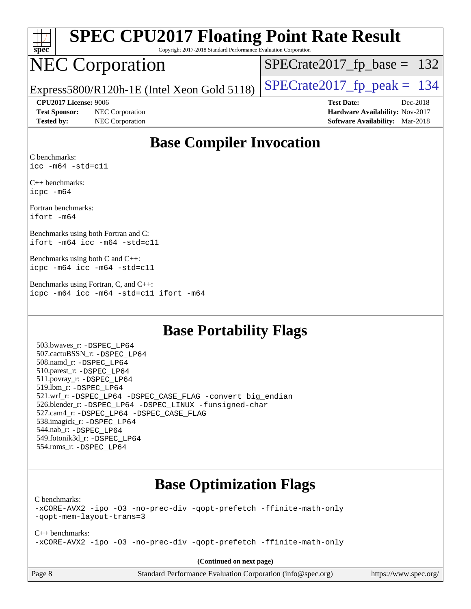| S<br>pe<br>Ľ |  |  |  |  |  |  |  |
|--------------|--|--|--|--|--|--|--|

Copyright 2017-2018 Standard Performance Evaluation Corporation

# NEC Corporation

[SPECrate2017\\_fp\\_base =](http://www.spec.org/auto/cpu2017/Docs/result-fields.html#SPECrate2017fpbase) 132

Express5800/R120h-1E (Intel Xeon Gold 5118)  $\left|$  [SPECrate2017\\_fp\\_peak =](http://www.spec.org/auto/cpu2017/Docs/result-fields.html#SPECrate2017fppeak) 134

**[CPU2017 License:](http://www.spec.org/auto/cpu2017/Docs/result-fields.html#CPU2017License)** 9006 **[Test Date:](http://www.spec.org/auto/cpu2017/Docs/result-fields.html#TestDate)** Dec-2018

**[Test Sponsor:](http://www.spec.org/auto/cpu2017/Docs/result-fields.html#TestSponsor)** NEC Corporation **[Hardware Availability:](http://www.spec.org/auto/cpu2017/Docs/result-fields.html#HardwareAvailability)** Nov-2017

**[Tested by:](http://www.spec.org/auto/cpu2017/Docs/result-fields.html#Testedby)** NEC Corporation **[Software Availability:](http://www.spec.org/auto/cpu2017/Docs/result-fields.html#SoftwareAvailability)** Mar-2018

#### **[Base Compiler Invocation](http://www.spec.org/auto/cpu2017/Docs/result-fields.html#BaseCompilerInvocation)**

[C benchmarks](http://www.spec.org/auto/cpu2017/Docs/result-fields.html#Cbenchmarks): [icc -m64 -std=c11](http://www.spec.org/cpu2017/results/res2018q4/cpu2017-20181210-10047.flags.html#user_CCbase_intel_icc_64bit_c11_33ee0cdaae7deeeab2a9725423ba97205ce30f63b9926c2519791662299b76a0318f32ddfffdc46587804de3178b4f9328c46fa7c2b0cd779d7a61945c91cd35)

[C++ benchmarks:](http://www.spec.org/auto/cpu2017/Docs/result-fields.html#CXXbenchmarks) [icpc -m64](http://www.spec.org/cpu2017/results/res2018q4/cpu2017-20181210-10047.flags.html#user_CXXbase_intel_icpc_64bit_4ecb2543ae3f1412ef961e0650ca070fec7b7afdcd6ed48761b84423119d1bf6bdf5cad15b44d48e7256388bc77273b966e5eb805aefd121eb22e9299b2ec9d9)

[Fortran benchmarks:](http://www.spec.org/auto/cpu2017/Docs/result-fields.html#Fortranbenchmarks) [ifort -m64](http://www.spec.org/cpu2017/results/res2018q4/cpu2017-20181210-10047.flags.html#user_FCbase_intel_ifort_64bit_24f2bb282fbaeffd6157abe4f878425411749daecae9a33200eee2bee2fe76f3b89351d69a8130dd5949958ce389cf37ff59a95e7a40d588e8d3a57e0c3fd751)

[Benchmarks using both Fortran and C](http://www.spec.org/auto/cpu2017/Docs/result-fields.html#BenchmarksusingbothFortranandC): [ifort -m64](http://www.spec.org/cpu2017/results/res2018q4/cpu2017-20181210-10047.flags.html#user_CC_FCbase_intel_ifort_64bit_24f2bb282fbaeffd6157abe4f878425411749daecae9a33200eee2bee2fe76f3b89351d69a8130dd5949958ce389cf37ff59a95e7a40d588e8d3a57e0c3fd751) [icc -m64 -std=c11](http://www.spec.org/cpu2017/results/res2018q4/cpu2017-20181210-10047.flags.html#user_CC_FCbase_intel_icc_64bit_c11_33ee0cdaae7deeeab2a9725423ba97205ce30f63b9926c2519791662299b76a0318f32ddfffdc46587804de3178b4f9328c46fa7c2b0cd779d7a61945c91cd35)

[Benchmarks using both C and C++:](http://www.spec.org/auto/cpu2017/Docs/result-fields.html#BenchmarksusingbothCandCXX) [icpc -m64](http://www.spec.org/cpu2017/results/res2018q4/cpu2017-20181210-10047.flags.html#user_CC_CXXbase_intel_icpc_64bit_4ecb2543ae3f1412ef961e0650ca070fec7b7afdcd6ed48761b84423119d1bf6bdf5cad15b44d48e7256388bc77273b966e5eb805aefd121eb22e9299b2ec9d9) [icc -m64 -std=c11](http://www.spec.org/cpu2017/results/res2018q4/cpu2017-20181210-10047.flags.html#user_CC_CXXbase_intel_icc_64bit_c11_33ee0cdaae7deeeab2a9725423ba97205ce30f63b9926c2519791662299b76a0318f32ddfffdc46587804de3178b4f9328c46fa7c2b0cd779d7a61945c91cd35)

[Benchmarks using Fortran, C, and C++](http://www.spec.org/auto/cpu2017/Docs/result-fields.html#BenchmarksusingFortranCandCXX): [icpc -m64](http://www.spec.org/cpu2017/results/res2018q4/cpu2017-20181210-10047.flags.html#user_CC_CXX_FCbase_intel_icpc_64bit_4ecb2543ae3f1412ef961e0650ca070fec7b7afdcd6ed48761b84423119d1bf6bdf5cad15b44d48e7256388bc77273b966e5eb805aefd121eb22e9299b2ec9d9) [icc -m64 -std=c11](http://www.spec.org/cpu2017/results/res2018q4/cpu2017-20181210-10047.flags.html#user_CC_CXX_FCbase_intel_icc_64bit_c11_33ee0cdaae7deeeab2a9725423ba97205ce30f63b9926c2519791662299b76a0318f32ddfffdc46587804de3178b4f9328c46fa7c2b0cd779d7a61945c91cd35) [ifort -m64](http://www.spec.org/cpu2017/results/res2018q4/cpu2017-20181210-10047.flags.html#user_CC_CXX_FCbase_intel_ifort_64bit_24f2bb282fbaeffd6157abe4f878425411749daecae9a33200eee2bee2fe76f3b89351d69a8130dd5949958ce389cf37ff59a95e7a40d588e8d3a57e0c3fd751)

#### **[Base Portability Flags](http://www.spec.org/auto/cpu2017/Docs/result-fields.html#BasePortabilityFlags)**

 503.bwaves\_r: [-DSPEC\\_LP64](http://www.spec.org/cpu2017/results/res2018q4/cpu2017-20181210-10047.flags.html#suite_basePORTABILITY503_bwaves_r_DSPEC_LP64) 507.cactuBSSN\_r: [-DSPEC\\_LP64](http://www.spec.org/cpu2017/results/res2018q4/cpu2017-20181210-10047.flags.html#suite_basePORTABILITY507_cactuBSSN_r_DSPEC_LP64) 508.namd\_r: [-DSPEC\\_LP64](http://www.spec.org/cpu2017/results/res2018q4/cpu2017-20181210-10047.flags.html#suite_basePORTABILITY508_namd_r_DSPEC_LP64) 510.parest\_r: [-DSPEC\\_LP64](http://www.spec.org/cpu2017/results/res2018q4/cpu2017-20181210-10047.flags.html#suite_basePORTABILITY510_parest_r_DSPEC_LP64) 511.povray\_r: [-DSPEC\\_LP64](http://www.spec.org/cpu2017/results/res2018q4/cpu2017-20181210-10047.flags.html#suite_basePORTABILITY511_povray_r_DSPEC_LP64) 519.lbm\_r: [-DSPEC\\_LP64](http://www.spec.org/cpu2017/results/res2018q4/cpu2017-20181210-10047.flags.html#suite_basePORTABILITY519_lbm_r_DSPEC_LP64) 521.wrf\_r: [-DSPEC\\_LP64](http://www.spec.org/cpu2017/results/res2018q4/cpu2017-20181210-10047.flags.html#suite_basePORTABILITY521_wrf_r_DSPEC_LP64) [-DSPEC\\_CASE\\_FLAG](http://www.spec.org/cpu2017/results/res2018q4/cpu2017-20181210-10047.flags.html#b521.wrf_r_baseCPORTABILITY_DSPEC_CASE_FLAG) [-convert big\\_endian](http://www.spec.org/cpu2017/results/res2018q4/cpu2017-20181210-10047.flags.html#user_baseFPORTABILITY521_wrf_r_convert_big_endian_c3194028bc08c63ac5d04de18c48ce6d347e4e562e8892b8bdbdc0214820426deb8554edfa529a3fb25a586e65a3d812c835984020483e7e73212c4d31a38223) 526.blender\_r: [-DSPEC\\_LP64](http://www.spec.org/cpu2017/results/res2018q4/cpu2017-20181210-10047.flags.html#suite_basePORTABILITY526_blender_r_DSPEC_LP64) [-DSPEC\\_LINUX](http://www.spec.org/cpu2017/results/res2018q4/cpu2017-20181210-10047.flags.html#b526.blender_r_baseCPORTABILITY_DSPEC_LINUX) [-funsigned-char](http://www.spec.org/cpu2017/results/res2018q4/cpu2017-20181210-10047.flags.html#user_baseCPORTABILITY526_blender_r_force_uchar_40c60f00ab013830e2dd6774aeded3ff59883ba5a1fc5fc14077f794d777847726e2a5858cbc7672e36e1b067e7e5c1d9a74f7176df07886a243d7cc18edfe67) 527.cam4\_r: [-DSPEC\\_LP64](http://www.spec.org/cpu2017/results/res2018q4/cpu2017-20181210-10047.flags.html#suite_basePORTABILITY527_cam4_r_DSPEC_LP64) [-DSPEC\\_CASE\\_FLAG](http://www.spec.org/cpu2017/results/res2018q4/cpu2017-20181210-10047.flags.html#b527.cam4_r_baseCPORTABILITY_DSPEC_CASE_FLAG) 538.imagick\_r: [-DSPEC\\_LP64](http://www.spec.org/cpu2017/results/res2018q4/cpu2017-20181210-10047.flags.html#suite_basePORTABILITY538_imagick_r_DSPEC_LP64) 544.nab\_r: [-DSPEC\\_LP64](http://www.spec.org/cpu2017/results/res2018q4/cpu2017-20181210-10047.flags.html#suite_basePORTABILITY544_nab_r_DSPEC_LP64) 549.fotonik3d\_r: [-DSPEC\\_LP64](http://www.spec.org/cpu2017/results/res2018q4/cpu2017-20181210-10047.flags.html#suite_basePORTABILITY549_fotonik3d_r_DSPEC_LP64) 554.roms\_r: [-DSPEC\\_LP64](http://www.spec.org/cpu2017/results/res2018q4/cpu2017-20181210-10047.flags.html#suite_basePORTABILITY554_roms_r_DSPEC_LP64)

#### **[Base Optimization Flags](http://www.spec.org/auto/cpu2017/Docs/result-fields.html#BaseOptimizationFlags)**

[C benchmarks](http://www.spec.org/auto/cpu2017/Docs/result-fields.html#Cbenchmarks):

[-xCORE-AVX2](http://www.spec.org/cpu2017/results/res2018q4/cpu2017-20181210-10047.flags.html#user_CCbase_f-xCORE-AVX2) [-ipo](http://www.spec.org/cpu2017/results/res2018q4/cpu2017-20181210-10047.flags.html#user_CCbase_f-ipo) [-O3](http://www.spec.org/cpu2017/results/res2018q4/cpu2017-20181210-10047.flags.html#user_CCbase_f-O3) [-no-prec-div](http://www.spec.org/cpu2017/results/res2018q4/cpu2017-20181210-10047.flags.html#user_CCbase_f-no-prec-div) [-qopt-prefetch](http://www.spec.org/cpu2017/results/res2018q4/cpu2017-20181210-10047.flags.html#user_CCbase_f-qopt-prefetch) [-ffinite-math-only](http://www.spec.org/cpu2017/results/res2018q4/cpu2017-20181210-10047.flags.html#user_CCbase_f_finite_math_only_cb91587bd2077682c4b38af759c288ed7c732db004271a9512da14a4f8007909a5f1427ecbf1a0fb78ff2a814402c6114ac565ca162485bbcae155b5e4258871) [-qopt-mem-layout-trans=3](http://www.spec.org/cpu2017/results/res2018q4/cpu2017-20181210-10047.flags.html#user_CCbase_f-qopt-mem-layout-trans_de80db37974c74b1f0e20d883f0b675c88c3b01e9d123adea9b28688d64333345fb62bc4a798493513fdb68f60282f9a726aa07f478b2f7113531aecce732043)

[C++ benchmarks:](http://www.spec.org/auto/cpu2017/Docs/result-fields.html#CXXbenchmarks) [-xCORE-AVX2](http://www.spec.org/cpu2017/results/res2018q4/cpu2017-20181210-10047.flags.html#user_CXXbase_f-xCORE-AVX2) [-ipo](http://www.spec.org/cpu2017/results/res2018q4/cpu2017-20181210-10047.flags.html#user_CXXbase_f-ipo) [-O3](http://www.spec.org/cpu2017/results/res2018q4/cpu2017-20181210-10047.flags.html#user_CXXbase_f-O3) [-no-prec-div](http://www.spec.org/cpu2017/results/res2018q4/cpu2017-20181210-10047.flags.html#user_CXXbase_f-no-prec-div) [-qopt-prefetch](http://www.spec.org/cpu2017/results/res2018q4/cpu2017-20181210-10047.flags.html#user_CXXbase_f-qopt-prefetch) [-ffinite-math-only](http://www.spec.org/cpu2017/results/res2018q4/cpu2017-20181210-10047.flags.html#user_CXXbase_f_finite_math_only_cb91587bd2077682c4b38af759c288ed7c732db004271a9512da14a4f8007909a5f1427ecbf1a0fb78ff2a814402c6114ac565ca162485bbcae155b5e4258871)

**(Continued on next page)**

| age 8 |  |  |  |  |
|-------|--|--|--|--|
|-------|--|--|--|--|

Page 8 Standard Performance Evaluation Corporation [\(info@spec.org\)](mailto:info@spec.org) <https://www.spec.org/>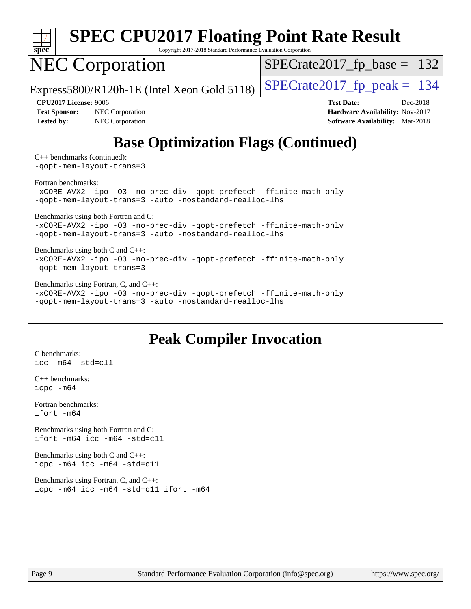

Copyright 2017-2018 Standard Performance Evaluation Corporation

## NEC Corporation

 $SPECTate2017_fp\_base = 132$ 

Express5800/R120h-1E (Intel Xeon Gold 5118)  $\left|$  [SPECrate2017\\_fp\\_peak =](http://www.spec.org/auto/cpu2017/Docs/result-fields.html#SPECrate2017fppeak) 134

**[Test Sponsor:](http://www.spec.org/auto/cpu2017/Docs/result-fields.html#TestSponsor)** NEC Corporation **[Hardware Availability:](http://www.spec.org/auto/cpu2017/Docs/result-fields.html#HardwareAvailability)** Nov-2017 **[Tested by:](http://www.spec.org/auto/cpu2017/Docs/result-fields.html#Testedby)** NEC Corporation **[Software Availability:](http://www.spec.org/auto/cpu2017/Docs/result-fields.html#SoftwareAvailability)** Mar-2018

**[CPU2017 License:](http://www.spec.org/auto/cpu2017/Docs/result-fields.html#CPU2017License)** 9006 **[Test Date:](http://www.spec.org/auto/cpu2017/Docs/result-fields.html#TestDate)** Dec-2018

## **[Base Optimization Flags \(Continued\)](http://www.spec.org/auto/cpu2017/Docs/result-fields.html#BaseOptimizationFlags)**

[C++ benchmarks](http://www.spec.org/auto/cpu2017/Docs/result-fields.html#CXXbenchmarks) (continued): [-qopt-mem-layout-trans=3](http://www.spec.org/cpu2017/results/res2018q4/cpu2017-20181210-10047.flags.html#user_CXXbase_f-qopt-mem-layout-trans_de80db37974c74b1f0e20d883f0b675c88c3b01e9d123adea9b28688d64333345fb62bc4a798493513fdb68f60282f9a726aa07f478b2f7113531aecce732043)

[Fortran benchmarks](http://www.spec.org/auto/cpu2017/Docs/result-fields.html#Fortranbenchmarks):

[-xCORE-AVX2](http://www.spec.org/cpu2017/results/res2018q4/cpu2017-20181210-10047.flags.html#user_FCbase_f-xCORE-AVX2) [-ipo](http://www.spec.org/cpu2017/results/res2018q4/cpu2017-20181210-10047.flags.html#user_FCbase_f-ipo) [-O3](http://www.spec.org/cpu2017/results/res2018q4/cpu2017-20181210-10047.flags.html#user_FCbase_f-O3) [-no-prec-div](http://www.spec.org/cpu2017/results/res2018q4/cpu2017-20181210-10047.flags.html#user_FCbase_f-no-prec-div) [-qopt-prefetch](http://www.spec.org/cpu2017/results/res2018q4/cpu2017-20181210-10047.flags.html#user_FCbase_f-qopt-prefetch) [-ffinite-math-only](http://www.spec.org/cpu2017/results/res2018q4/cpu2017-20181210-10047.flags.html#user_FCbase_f_finite_math_only_cb91587bd2077682c4b38af759c288ed7c732db004271a9512da14a4f8007909a5f1427ecbf1a0fb78ff2a814402c6114ac565ca162485bbcae155b5e4258871) [-qopt-mem-layout-trans=3](http://www.spec.org/cpu2017/results/res2018q4/cpu2017-20181210-10047.flags.html#user_FCbase_f-qopt-mem-layout-trans_de80db37974c74b1f0e20d883f0b675c88c3b01e9d123adea9b28688d64333345fb62bc4a798493513fdb68f60282f9a726aa07f478b2f7113531aecce732043) [-auto](http://www.spec.org/cpu2017/results/res2018q4/cpu2017-20181210-10047.flags.html#user_FCbase_f-auto) [-nostandard-realloc-lhs](http://www.spec.org/cpu2017/results/res2018q4/cpu2017-20181210-10047.flags.html#user_FCbase_f_2003_std_realloc_82b4557e90729c0f113870c07e44d33d6f5a304b4f63d4c15d2d0f1fab99f5daaed73bdb9275d9ae411527f28b936061aa8b9c8f2d63842963b95c9dd6426b8a)

[Benchmarks using both Fortran and C](http://www.spec.org/auto/cpu2017/Docs/result-fields.html#BenchmarksusingbothFortranandC):

[-xCORE-AVX2](http://www.spec.org/cpu2017/results/res2018q4/cpu2017-20181210-10047.flags.html#user_CC_FCbase_f-xCORE-AVX2) [-ipo](http://www.spec.org/cpu2017/results/res2018q4/cpu2017-20181210-10047.flags.html#user_CC_FCbase_f-ipo) [-O3](http://www.spec.org/cpu2017/results/res2018q4/cpu2017-20181210-10047.flags.html#user_CC_FCbase_f-O3) [-no-prec-div](http://www.spec.org/cpu2017/results/res2018q4/cpu2017-20181210-10047.flags.html#user_CC_FCbase_f-no-prec-div) [-qopt-prefetch](http://www.spec.org/cpu2017/results/res2018q4/cpu2017-20181210-10047.flags.html#user_CC_FCbase_f-qopt-prefetch) [-ffinite-math-only](http://www.spec.org/cpu2017/results/res2018q4/cpu2017-20181210-10047.flags.html#user_CC_FCbase_f_finite_math_only_cb91587bd2077682c4b38af759c288ed7c732db004271a9512da14a4f8007909a5f1427ecbf1a0fb78ff2a814402c6114ac565ca162485bbcae155b5e4258871) [-qopt-mem-layout-trans=3](http://www.spec.org/cpu2017/results/res2018q4/cpu2017-20181210-10047.flags.html#user_CC_FCbase_f-qopt-mem-layout-trans_de80db37974c74b1f0e20d883f0b675c88c3b01e9d123adea9b28688d64333345fb62bc4a798493513fdb68f60282f9a726aa07f478b2f7113531aecce732043) [-auto](http://www.spec.org/cpu2017/results/res2018q4/cpu2017-20181210-10047.flags.html#user_CC_FCbase_f-auto) [-nostandard-realloc-lhs](http://www.spec.org/cpu2017/results/res2018q4/cpu2017-20181210-10047.flags.html#user_CC_FCbase_f_2003_std_realloc_82b4557e90729c0f113870c07e44d33d6f5a304b4f63d4c15d2d0f1fab99f5daaed73bdb9275d9ae411527f28b936061aa8b9c8f2d63842963b95c9dd6426b8a)

#### [Benchmarks using both C and C++](http://www.spec.org/auto/cpu2017/Docs/result-fields.html#BenchmarksusingbothCandCXX):

[-xCORE-AVX2](http://www.spec.org/cpu2017/results/res2018q4/cpu2017-20181210-10047.flags.html#user_CC_CXXbase_f-xCORE-AVX2) [-ipo](http://www.spec.org/cpu2017/results/res2018q4/cpu2017-20181210-10047.flags.html#user_CC_CXXbase_f-ipo) [-O3](http://www.spec.org/cpu2017/results/res2018q4/cpu2017-20181210-10047.flags.html#user_CC_CXXbase_f-O3) [-no-prec-div](http://www.spec.org/cpu2017/results/res2018q4/cpu2017-20181210-10047.flags.html#user_CC_CXXbase_f-no-prec-div) [-qopt-prefetch](http://www.spec.org/cpu2017/results/res2018q4/cpu2017-20181210-10047.flags.html#user_CC_CXXbase_f-qopt-prefetch) [-ffinite-math-only](http://www.spec.org/cpu2017/results/res2018q4/cpu2017-20181210-10047.flags.html#user_CC_CXXbase_f_finite_math_only_cb91587bd2077682c4b38af759c288ed7c732db004271a9512da14a4f8007909a5f1427ecbf1a0fb78ff2a814402c6114ac565ca162485bbcae155b5e4258871) [-qopt-mem-layout-trans=3](http://www.spec.org/cpu2017/results/res2018q4/cpu2017-20181210-10047.flags.html#user_CC_CXXbase_f-qopt-mem-layout-trans_de80db37974c74b1f0e20d883f0b675c88c3b01e9d123adea9b28688d64333345fb62bc4a798493513fdb68f60282f9a726aa07f478b2f7113531aecce732043)

[Benchmarks using Fortran, C, and C++:](http://www.spec.org/auto/cpu2017/Docs/result-fields.html#BenchmarksusingFortranCandCXX)

[-xCORE-AVX2](http://www.spec.org/cpu2017/results/res2018q4/cpu2017-20181210-10047.flags.html#user_CC_CXX_FCbase_f-xCORE-AVX2) [-ipo](http://www.spec.org/cpu2017/results/res2018q4/cpu2017-20181210-10047.flags.html#user_CC_CXX_FCbase_f-ipo) [-O3](http://www.spec.org/cpu2017/results/res2018q4/cpu2017-20181210-10047.flags.html#user_CC_CXX_FCbase_f-O3) [-no-prec-div](http://www.spec.org/cpu2017/results/res2018q4/cpu2017-20181210-10047.flags.html#user_CC_CXX_FCbase_f-no-prec-div) [-qopt-prefetch](http://www.spec.org/cpu2017/results/res2018q4/cpu2017-20181210-10047.flags.html#user_CC_CXX_FCbase_f-qopt-prefetch) [-ffinite-math-only](http://www.spec.org/cpu2017/results/res2018q4/cpu2017-20181210-10047.flags.html#user_CC_CXX_FCbase_f_finite_math_only_cb91587bd2077682c4b38af759c288ed7c732db004271a9512da14a4f8007909a5f1427ecbf1a0fb78ff2a814402c6114ac565ca162485bbcae155b5e4258871) [-qopt-mem-layout-trans=3](http://www.spec.org/cpu2017/results/res2018q4/cpu2017-20181210-10047.flags.html#user_CC_CXX_FCbase_f-qopt-mem-layout-trans_de80db37974c74b1f0e20d883f0b675c88c3b01e9d123adea9b28688d64333345fb62bc4a798493513fdb68f60282f9a726aa07f478b2f7113531aecce732043) [-auto](http://www.spec.org/cpu2017/results/res2018q4/cpu2017-20181210-10047.flags.html#user_CC_CXX_FCbase_f-auto) [-nostandard-realloc-lhs](http://www.spec.org/cpu2017/results/res2018q4/cpu2017-20181210-10047.flags.html#user_CC_CXX_FCbase_f_2003_std_realloc_82b4557e90729c0f113870c07e44d33d6f5a304b4f63d4c15d2d0f1fab99f5daaed73bdb9275d9ae411527f28b936061aa8b9c8f2d63842963b95c9dd6426b8a)

#### **[Peak Compiler Invocation](http://www.spec.org/auto/cpu2017/Docs/result-fields.html#PeakCompilerInvocation)**

[C benchmarks](http://www.spec.org/auto/cpu2017/Docs/result-fields.html#Cbenchmarks): [icc -m64 -std=c11](http://www.spec.org/cpu2017/results/res2018q4/cpu2017-20181210-10047.flags.html#user_CCpeak_intel_icc_64bit_c11_33ee0cdaae7deeeab2a9725423ba97205ce30f63b9926c2519791662299b76a0318f32ddfffdc46587804de3178b4f9328c46fa7c2b0cd779d7a61945c91cd35)

[C++ benchmarks:](http://www.spec.org/auto/cpu2017/Docs/result-fields.html#CXXbenchmarks) [icpc -m64](http://www.spec.org/cpu2017/results/res2018q4/cpu2017-20181210-10047.flags.html#user_CXXpeak_intel_icpc_64bit_4ecb2543ae3f1412ef961e0650ca070fec7b7afdcd6ed48761b84423119d1bf6bdf5cad15b44d48e7256388bc77273b966e5eb805aefd121eb22e9299b2ec9d9)

[Fortran benchmarks](http://www.spec.org/auto/cpu2017/Docs/result-fields.html#Fortranbenchmarks): [ifort -m64](http://www.spec.org/cpu2017/results/res2018q4/cpu2017-20181210-10047.flags.html#user_FCpeak_intel_ifort_64bit_24f2bb282fbaeffd6157abe4f878425411749daecae9a33200eee2bee2fe76f3b89351d69a8130dd5949958ce389cf37ff59a95e7a40d588e8d3a57e0c3fd751)

[Benchmarks using both Fortran and C](http://www.spec.org/auto/cpu2017/Docs/result-fields.html#BenchmarksusingbothFortranandC): [ifort -m64](http://www.spec.org/cpu2017/results/res2018q4/cpu2017-20181210-10047.flags.html#user_CC_FCpeak_intel_ifort_64bit_24f2bb282fbaeffd6157abe4f878425411749daecae9a33200eee2bee2fe76f3b89351d69a8130dd5949958ce389cf37ff59a95e7a40d588e8d3a57e0c3fd751) [icc -m64 -std=c11](http://www.spec.org/cpu2017/results/res2018q4/cpu2017-20181210-10047.flags.html#user_CC_FCpeak_intel_icc_64bit_c11_33ee0cdaae7deeeab2a9725423ba97205ce30f63b9926c2519791662299b76a0318f32ddfffdc46587804de3178b4f9328c46fa7c2b0cd779d7a61945c91cd35)

[Benchmarks using both C and C++](http://www.spec.org/auto/cpu2017/Docs/result-fields.html#BenchmarksusingbothCandCXX): [icpc -m64](http://www.spec.org/cpu2017/results/res2018q4/cpu2017-20181210-10047.flags.html#user_CC_CXXpeak_intel_icpc_64bit_4ecb2543ae3f1412ef961e0650ca070fec7b7afdcd6ed48761b84423119d1bf6bdf5cad15b44d48e7256388bc77273b966e5eb805aefd121eb22e9299b2ec9d9) [icc -m64 -std=c11](http://www.spec.org/cpu2017/results/res2018q4/cpu2017-20181210-10047.flags.html#user_CC_CXXpeak_intel_icc_64bit_c11_33ee0cdaae7deeeab2a9725423ba97205ce30f63b9926c2519791662299b76a0318f32ddfffdc46587804de3178b4f9328c46fa7c2b0cd779d7a61945c91cd35)

[Benchmarks using Fortran, C, and C++:](http://www.spec.org/auto/cpu2017/Docs/result-fields.html#BenchmarksusingFortranCandCXX) [icpc -m64](http://www.spec.org/cpu2017/results/res2018q4/cpu2017-20181210-10047.flags.html#user_CC_CXX_FCpeak_intel_icpc_64bit_4ecb2543ae3f1412ef961e0650ca070fec7b7afdcd6ed48761b84423119d1bf6bdf5cad15b44d48e7256388bc77273b966e5eb805aefd121eb22e9299b2ec9d9) [icc -m64 -std=c11](http://www.spec.org/cpu2017/results/res2018q4/cpu2017-20181210-10047.flags.html#user_CC_CXX_FCpeak_intel_icc_64bit_c11_33ee0cdaae7deeeab2a9725423ba97205ce30f63b9926c2519791662299b76a0318f32ddfffdc46587804de3178b4f9328c46fa7c2b0cd779d7a61945c91cd35) [ifort -m64](http://www.spec.org/cpu2017/results/res2018q4/cpu2017-20181210-10047.flags.html#user_CC_CXX_FCpeak_intel_ifort_64bit_24f2bb282fbaeffd6157abe4f878425411749daecae9a33200eee2bee2fe76f3b89351d69a8130dd5949958ce389cf37ff59a95e7a40d588e8d3a57e0c3fd751)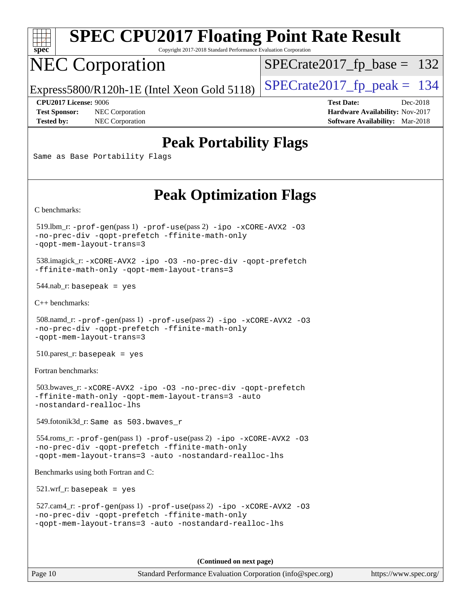| spec |  |  |  |  |  |  |  |
|------|--|--|--|--|--|--|--|

Copyright 2017-2018 Standard Performance Evaluation Corporation

# NEC Corporation

[SPECrate2017\\_fp\\_base =](http://www.spec.org/auto/cpu2017/Docs/result-fields.html#SPECrate2017fpbase) 132

Express5800/R120h-1E (Intel Xeon Gold 5118)  $\left|$  [SPECrate2017\\_fp\\_peak =](http://www.spec.org/auto/cpu2017/Docs/result-fields.html#SPECrate2017fppeak) 134

**[Test Sponsor:](http://www.spec.org/auto/cpu2017/Docs/result-fields.html#TestSponsor)** NEC Corporation **[Hardware Availability:](http://www.spec.org/auto/cpu2017/Docs/result-fields.html#HardwareAvailability)** Nov-2017

**[CPU2017 License:](http://www.spec.org/auto/cpu2017/Docs/result-fields.html#CPU2017License)** 9006 **[Test Date:](http://www.spec.org/auto/cpu2017/Docs/result-fields.html#TestDate)** Dec-2018 **[Tested by:](http://www.spec.org/auto/cpu2017/Docs/result-fields.html#Testedby)** NEC Corporation **[Software Availability:](http://www.spec.org/auto/cpu2017/Docs/result-fields.html#SoftwareAvailability)** Mar-2018

#### **[Peak Portability Flags](http://www.spec.org/auto/cpu2017/Docs/result-fields.html#PeakPortabilityFlags)**

Same as Base Portability Flags

### **[Peak Optimization Flags](http://www.spec.org/auto/cpu2017/Docs/result-fields.html#PeakOptimizationFlags)**

[C benchmarks](http://www.spec.org/auto/cpu2017/Docs/result-fields.html#Cbenchmarks):

 519.lbm\_r: [-prof-gen](http://www.spec.org/cpu2017/results/res2018q4/cpu2017-20181210-10047.flags.html#user_peakPASS1_CFLAGSPASS1_LDFLAGS519_lbm_r_prof_gen_5aa4926d6013ddb2a31985c654b3eb18169fc0c6952a63635c234f711e6e63dd76e94ad52365559451ec499a2cdb89e4dc58ba4c67ef54ca681ffbe1461d6b36)(pass 1) [-prof-use](http://www.spec.org/cpu2017/results/res2018q4/cpu2017-20181210-10047.flags.html#user_peakPASS2_CFLAGSPASS2_LDFLAGS519_lbm_r_prof_use_1a21ceae95f36a2b53c25747139a6c16ca95bd9def2a207b4f0849963b97e94f5260e30a0c64f4bb623698870e679ca08317ef8150905d41bd88c6f78df73f19)(pass 2) [-ipo](http://www.spec.org/cpu2017/results/res2018q4/cpu2017-20181210-10047.flags.html#user_peakPASS1_COPTIMIZEPASS2_COPTIMIZE519_lbm_r_f-ipo) [-xCORE-AVX2](http://www.spec.org/cpu2017/results/res2018q4/cpu2017-20181210-10047.flags.html#user_peakPASS2_COPTIMIZE519_lbm_r_f-xCORE-AVX2) [-O3](http://www.spec.org/cpu2017/results/res2018q4/cpu2017-20181210-10047.flags.html#user_peakPASS1_COPTIMIZEPASS2_COPTIMIZE519_lbm_r_f-O3) [-no-prec-div](http://www.spec.org/cpu2017/results/res2018q4/cpu2017-20181210-10047.flags.html#user_peakPASS1_COPTIMIZEPASS2_COPTIMIZE519_lbm_r_f-no-prec-div) [-qopt-prefetch](http://www.spec.org/cpu2017/results/res2018q4/cpu2017-20181210-10047.flags.html#user_peakPASS1_COPTIMIZEPASS2_COPTIMIZE519_lbm_r_f-qopt-prefetch) [-ffinite-math-only](http://www.spec.org/cpu2017/results/res2018q4/cpu2017-20181210-10047.flags.html#user_peakPASS1_COPTIMIZEPASS2_COPTIMIZE519_lbm_r_f_finite_math_only_cb91587bd2077682c4b38af759c288ed7c732db004271a9512da14a4f8007909a5f1427ecbf1a0fb78ff2a814402c6114ac565ca162485bbcae155b5e4258871) [-qopt-mem-layout-trans=3](http://www.spec.org/cpu2017/results/res2018q4/cpu2017-20181210-10047.flags.html#user_peakPASS1_COPTIMIZEPASS2_COPTIMIZE519_lbm_r_f-qopt-mem-layout-trans_de80db37974c74b1f0e20d883f0b675c88c3b01e9d123adea9b28688d64333345fb62bc4a798493513fdb68f60282f9a726aa07f478b2f7113531aecce732043)

 538.imagick\_r: [-xCORE-AVX2](http://www.spec.org/cpu2017/results/res2018q4/cpu2017-20181210-10047.flags.html#user_peakCOPTIMIZE538_imagick_r_f-xCORE-AVX2) [-ipo](http://www.spec.org/cpu2017/results/res2018q4/cpu2017-20181210-10047.flags.html#user_peakCOPTIMIZE538_imagick_r_f-ipo) [-O3](http://www.spec.org/cpu2017/results/res2018q4/cpu2017-20181210-10047.flags.html#user_peakCOPTIMIZE538_imagick_r_f-O3) [-no-prec-div](http://www.spec.org/cpu2017/results/res2018q4/cpu2017-20181210-10047.flags.html#user_peakCOPTIMIZE538_imagick_r_f-no-prec-div) [-qopt-prefetch](http://www.spec.org/cpu2017/results/res2018q4/cpu2017-20181210-10047.flags.html#user_peakCOPTIMIZE538_imagick_r_f-qopt-prefetch) [-ffinite-math-only](http://www.spec.org/cpu2017/results/res2018q4/cpu2017-20181210-10047.flags.html#user_peakCOPTIMIZE538_imagick_r_f_finite_math_only_cb91587bd2077682c4b38af759c288ed7c732db004271a9512da14a4f8007909a5f1427ecbf1a0fb78ff2a814402c6114ac565ca162485bbcae155b5e4258871) [-qopt-mem-layout-trans=3](http://www.spec.org/cpu2017/results/res2018q4/cpu2017-20181210-10047.flags.html#user_peakCOPTIMIZE538_imagick_r_f-qopt-mem-layout-trans_de80db37974c74b1f0e20d883f0b675c88c3b01e9d123adea9b28688d64333345fb62bc4a798493513fdb68f60282f9a726aa07f478b2f7113531aecce732043)

 $544$ .nab\_r: basepeak = yes

[C++ benchmarks:](http://www.spec.org/auto/cpu2017/Docs/result-fields.html#CXXbenchmarks)

```
 508.namd_r: -prof-gen(pass 1) -prof-use(pass 2) -ipo -xCORE-AVX2 -O3
-no-prec-div -qopt-prefetch -ffinite-math-only
-qopt-mem-layout-trans=3
```
510.parest\_r: basepeak = yes

[Fortran benchmarks](http://www.spec.org/auto/cpu2017/Docs/result-fields.html#Fortranbenchmarks):

```
 503.bwaves_r: -xCORE-AVX2 -ipo -O3 -no-prec-div -qopt-prefetch
-ffinite-math-only -qopt-mem-layout-trans=3 -auto
-nostandard-realloc-lhs
```
549.fotonik3d\_r: Same as 503.bwaves\_r

```
 554.roms_r: -prof-gen(pass 1) -prof-use(pass 2) -ipo -xCORE-AVX2 -O3
-no-prec-div -qopt-prefetch -ffinite-math-only
-qopt-mem-layout-trans=3 -auto -nostandard-realloc-lhs
```
[Benchmarks using both Fortran and C](http://www.spec.org/auto/cpu2017/Docs/result-fields.html#BenchmarksusingbothFortranandC):

 $521.wrf_r$ : basepeak = yes

```
 527.cam4_r: -prof-gen(pass 1) -prof-use(pass 2) -ipo -xCORE-AVX2 -O3
-no-prec-div -qopt-prefetch -ffinite-math-only
-qopt-mem-layout-trans=3 -auto -nostandard-realloc-lhs
```
**(Continued on next page)**